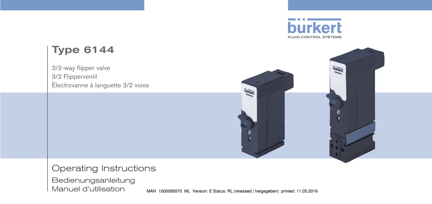

# Type 6144

3/2-way flipper valve 3/2 Flipperventil Électrovanne à languette 3/2 voies



Operating Instructions

Bedienungsanleitung Manuel d'utilisation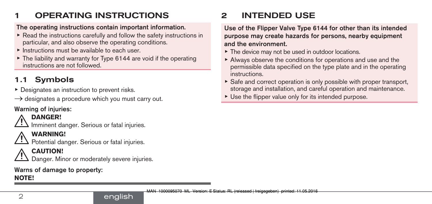# **OPERATING INSTRUCTIONS**

#### The operating instructions contain important information.

- $\triangleright$  Read the instructions carefully and follow the safety instructions in particular, and also observe the operating conditions.
- $\blacktriangleright$  Instructions must be available to each user.
- $\triangleright$  The liability and warranty for Type 6144 are void if the operating instructions are not followed.

# 1.1 Symbols

- ▶ Designates an instruction to prevent risks.
- $\rightarrow$  designates a procedure which you must carry out.

## Warning of injuries:

## **DANGER!**

Imminent danger. Serious or fatal injuries.

## **WARNING!**

Potential danger. Serious or fatal injuries.

## **CAUTION!**

Danger. Minor or moderately severe injuries.

# Warns of damage to property:

### **NOTE!**

# 2 INTENDED USE

Use of the Flipper Valve Type 6144 for other than its intended purpose may create hazards for persons, nearby equipment and the environment.

- ▶ The device may not be used in outdoor locations.
- ▶ Always observe the conditions for operations and use and the permissible data specified on the type plate and in the operating instructions.
- $\triangleright$  Safe and correct operation is only possible with proper transport, storage and installation, and careful operation and maintenance.
- $\triangleright$  Use the flipper value only for its intended purpose.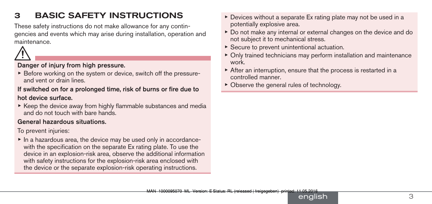# 3 BASIC SAFETY INSTRUCTIONS

These safety instructions do not make allowance for any contingencies and events which may arise during installation, operation and maintenance.



#### Danger of injury from high pressure.

▶ Before working on the system or device, switch off the pressureand vent or drain lines.

#### If switched on for a prolonged time, risk of burns or fire due to

#### hot device surface.

 $\triangleright$  Keep the device away from highly flammable substances and media and do not touch with bare hands.

#### General hazardous situations.

To prevent injuries:

▶ In a hazardous area, the device may be used only in accordancewith the specification on the separate Ex rating plate. To use the device in an explosion-risk area, observe the additional information with safety instructions for the explosion-risk area enclosed with the device or the separate explosion-risk operating instructions.

- ▶ Devices without a separate Ex rating plate may not be used in a potentially explosive area.
- ▶ Do not make any internal or external changes on the device and do not subject it to mechanical stress.
- $\triangleright$  Secure to prevent unintentional actuation.
- ▶ Only trained technicians may perform installation and maintenance work.
- ▶ After an interruption, ensure that the process is restarted in a controlled manner.
- $\triangleright$  Observe the general rules of technology.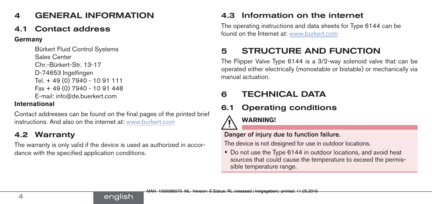# 4 GENERAL INFORMATION

## Contact address

**Germany**

```
Bürkert Fluid Control Systems
Sales Center
Chr.-Bürkert-Str. 13-17
D-74653 Ingelfingen
Tel. + 49 (0) 7940 - 10 91 111
Fax + 49 (0) 7940 - 10 91 448
E-mail: info@de.buerkert.com
```
### **International**

Contact addresses can be found on the final pages of the printed brief instructions. And also on the internet at: [www.burkert.com](http://burkert.com)

## 4.2 Warranty

The warranty is only valid if the device is used as authorized in accordance with the specified application conditions.

english

## 4.3 Information on the internet

The operating instructions and data sheets for Type 6144 can be found on the Internet at: [www.burkert.com](http://www.burkert.com/en/)

# 5 STRUCTURE AND FUNCTION

The Flipper Valve Type 6144 is a 3/2-way solenoid valve that can be operated either electrically (monostable or bistable) or mechanically via manual actuation.

## 6 TECHNICAL DATA

# 6.1 Operating conditions

## **WARNING!**

### Danger of injury due to function failure.

The device is not designed for use in outdoor locations.

▶ Do not use the Type 6144 in outdoor locations, and avoid heat sources that could cause the temperature to exceed the permissible temperature range.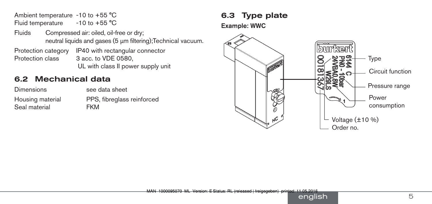Ambient temperature -10 to +55 °C Fluid temperature  $-10$  to  $+55$  °C

Fluids Compressed air: oiled, oil-free or dry; neutral liquids and gases (5 µm filtering);Technical vacuum. Protection category IP40 with rectangular connector Protection class 3 acc. to VDE 0580.

#### UL with class II power supply unit

### 6.2 Mechanical data

Dimensions **Example 3** see data sheet Seal material **EXM** 

Housing material PPS, fibreglass reinforced

### 6.3 Type plate

Example: WWC

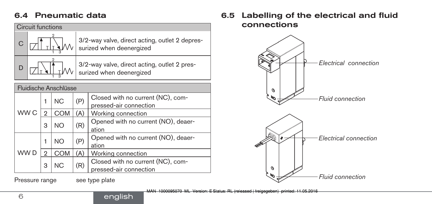### 6.4 Pneumatic data

| Circuit functions     |   |            |     |                                                                            |  |  |  |
|-----------------------|---|------------|-----|----------------------------------------------------------------------------|--|--|--|
|                       |   |            |     | 3/2-way valve, direct acting, outlet 2 depres-<br>surized when deenergized |  |  |  |
| D                     |   |            |     | 3/2-way valve, direct acting, outlet 2 pres-<br>surized when deenergized   |  |  |  |
| Fluidische Anschlüsse |   |            |     |                                                                            |  |  |  |
| WW <sub>C</sub>       | 1 | NС         | (P) | Closed with no current (NC), com-<br>pressed-air connection                |  |  |  |
|                       |   | <b>COM</b> | (A) | Working connection                                                         |  |  |  |
|                       | 3 | NΟ         | (R) | Opened with no current (NO), deaer-<br>ation                               |  |  |  |
| WW D                  | 1 | NO.        | (P) | Opened with no current (NO), deaer-<br>ation                               |  |  |  |
|                       | 2 | <b>COM</b> | (A) | Working connection                                                         |  |  |  |
|                       | 3 | ΝC         | (R) | Closed with no current (NC), com-<br>pressed-air connection                |  |  |  |

Pressure range see type plate

english

### 6.5 Labelling of the electrical and fluid connections

<span id="page-5-0"></span>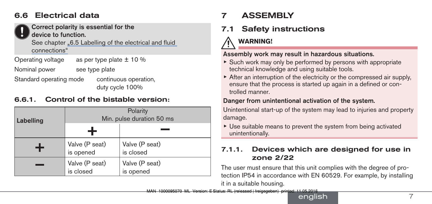## 6.6 Electrical data



Correct polarity is essential for the device to function.

See chapter "6.5 Labelling of the [electrical](#page-5-0) and fluid [connections"](#page-5-0)

Operating voltage as per type plate  $\pm$  10 %

Nominal power see type plate

Standard operating mode continuous operation,

duty cycle 100%

### 6.6.1. Control of the bistable version:

| Labelling | Polarity<br>Min. pulse duration 50 ms |                             |  |  |  |
|-----------|---------------------------------------|-----------------------------|--|--|--|
|           |                                       |                             |  |  |  |
|           | Valve (P seat)<br>is opened           | Valve (P seat)<br>is closed |  |  |  |
|           | Valve (P seat)<br>is closed           | Valve (P seat)<br>is opened |  |  |  |

# 7 ASSEMBLY

# 7.1 Safety instructions

# **WARNING!**

### Assembly work may result in hazardous situations.

- $\triangleright$  Such work may only be performed by persons with appropriate technical knowledge and using suitable tools.
- $\triangleright$  After an interruption of the electricity or the compressed air supply, ensure that the process is started up again in a defined or controlled manner.

### Danger from unintentional activation of the system.

Unintentional start-up of the system may lead to injuries and property damage.

▶ Use suitable means to prevent the system from being activated unintentionally.

### 7.1.1. Devices which are designed for use in zone 2/22

The user must ensure that this unit complies with the degree of protection IP54 in accordance with EN 60529. For example, by installing it in a suitable housing.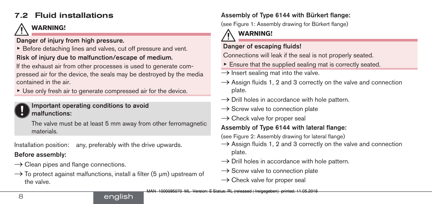## 7.2 Fluid installations

# **WARNING!**

### Danger of injury from high pressure.

▶ Before detaching lines and valves, cut off pressure and vent. Risk of injury due to malfunction/escape of medium.

If the exhaust air from other processes is used to generate compressed air for the device, the seals may be destroyed by the media contained in the air.

▶ Use only fresh air to generate compressed air for the device.

#### Important operating conditions to avoid malfunctions:

The valve must be at least 5 mm away from other ferromagnetic materials.

Installation position: any, preferably with the drive upwards.

### Before assembly:

- $\rightarrow$  Clean pipes and flange connections.
- $\rightarrow$  To protect against malfunctions, install a filter (5  $\mu$ m) upstream of the valve.

### Assembly of Type 6144 with Bürkert flange:

(see Figure 1: Assembly drawing for Bürkert flange)

# **WARNING!**

### Danger of escaping fluids!

Connections will leak if the seal is not properly seated.

- $\blacktriangleright$  Ensure that the supplied sealing mat is correctly seated.
- $\rightarrow$  Insert sealing mat into the valve.
- $\rightarrow$  Assign fluids 1, 2 and 3 correctly on the valve and connection plate.
- $\rightarrow$  Drill holes in accordance with hole pattern.
- $\rightarrow$  Screw valve to connection plate
- $\rightarrow$  Check valve for proper seal

## Assembly of Type 6144 with lateral flange:

(see Figure 2: Assembly drawing for lateral flange)

- $\rightarrow$  Assign fluids 1, 2 and 3 correctly on the valve and connection plate.
- $\rightarrow$  Drill holes in accordance with hole pattern.
- $\rightarrow$  Screw valve to connection plate
- $\rightarrow$  Check valve for proper seal

### english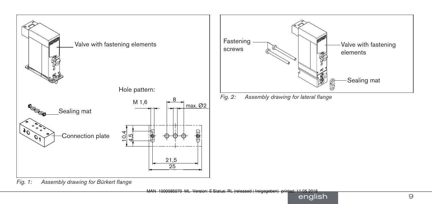



*Fig. 2: Assembly drawing for lateral flange*

*Fig. 1: Assembly drawing for Bürkert flange*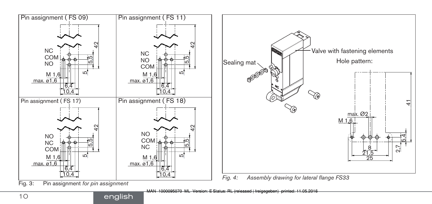

MAN 1000095070 ML Version: E Status: RL (released | freigegeben) printed: 11.05.2016

english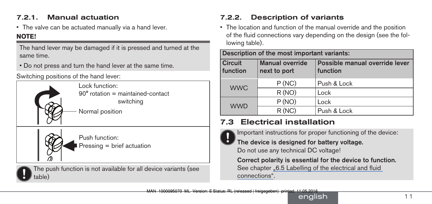### 7.2.1. Manual actuation

• The valve can be actuated manually via a hand lever.

### **NOTE!**

The hand lever may be damaged if it is pressed and turned at the same time.

• Do not press and turn the hand lever at the same time.

Switching positions of the hand lever:



Lock function:▶ 90° rotation = maintained-contact switching

Normal position

Push function: Pressing = brief actuation



The push function is not available for all device variants (see table)

## 7.2.2. Description of variants

• The location and function of the manual override and the position of the fluid connections vary depending on the design (see the following table).

| Description of the most important variants: |                                        |                                            |  |  |  |
|---------------------------------------------|----------------------------------------|--------------------------------------------|--|--|--|
| <b>Circuit</b><br>function                  | <b>Manual override</b><br>next to port | Possible manual override lever<br>function |  |  |  |
| <b>WWC</b>                                  | P(NC)                                  | Push & Lock                                |  |  |  |
|                                             | R(NO)                                  | Lock                                       |  |  |  |
| <b>WWD</b>                                  | P(NO)                                  | Lock                                       |  |  |  |
|                                             | R(NC)                                  | Push & Lock                                |  |  |  |

# 7.3 Electrical installation



Important instructions for proper functioning of the device:

The device is designed for battery voltage. Do not use any technical DC voltage!

Correct polarity is essential for the device to function. See chapter "6.5 Labelling of the [electrical](#page-5-0) and fluid [connections"](#page-5-0).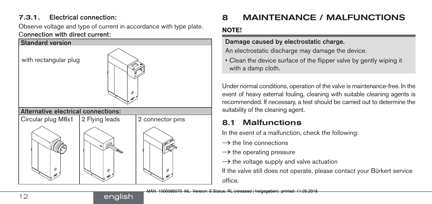### 7.3.1. Electrical connection:

Observe voltage and type of current in accordance with type plate. Connection with direct current:



english

# 8 MAINTENANCE / MALFUNCTIONS

#### **NOTE!**

#### Damage caused by electrostatic charge.

An electrostatic discharge may damage the device.

• Clean the device surface of the flipper valve by gently wiping it with a damp cloth.

Under normal conditions, operation of the valve is maintenance-free. In the event of heavy external fouling, cleaning with suitable cleaning agents is recommended. If necessary, a test should be carried out to determine the suitability of the cleaning agent.

# 8.1 Malfunctions

In the event of a malfunction, check the following:

- $\rightarrow$  the line connections
- $\rightarrow$  the operating pressure
- $\rightarrow$  the voltage supply and valve actuation

If the valve still does not operate, please contact your Bürkert service office.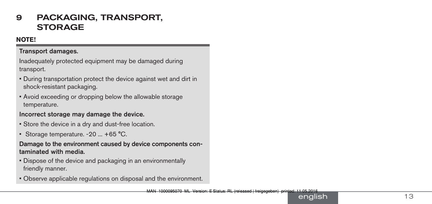## 9 PACKAGING, TRANSPORT, **STORAGE**

#### **NOTE!**

#### Transport damages.

Inadequately protected equipment may be damaged during transport.

- During transportation protect the device against wet and dirt in shock-resistant packaging.
- Avoid exceeding or dropping below the allowable storage temperature.

#### Incorrect storage may damage the device.

- Store the device in a dry and dust-free location.
- Storage temperature. -20 ... +65 °C.

#### Damage to the environment caused by device components con taminated with media.

- Dispose of the device and packaging in an environmentally friendly manner.
- Observe applicable regulations on disposal and the environment.